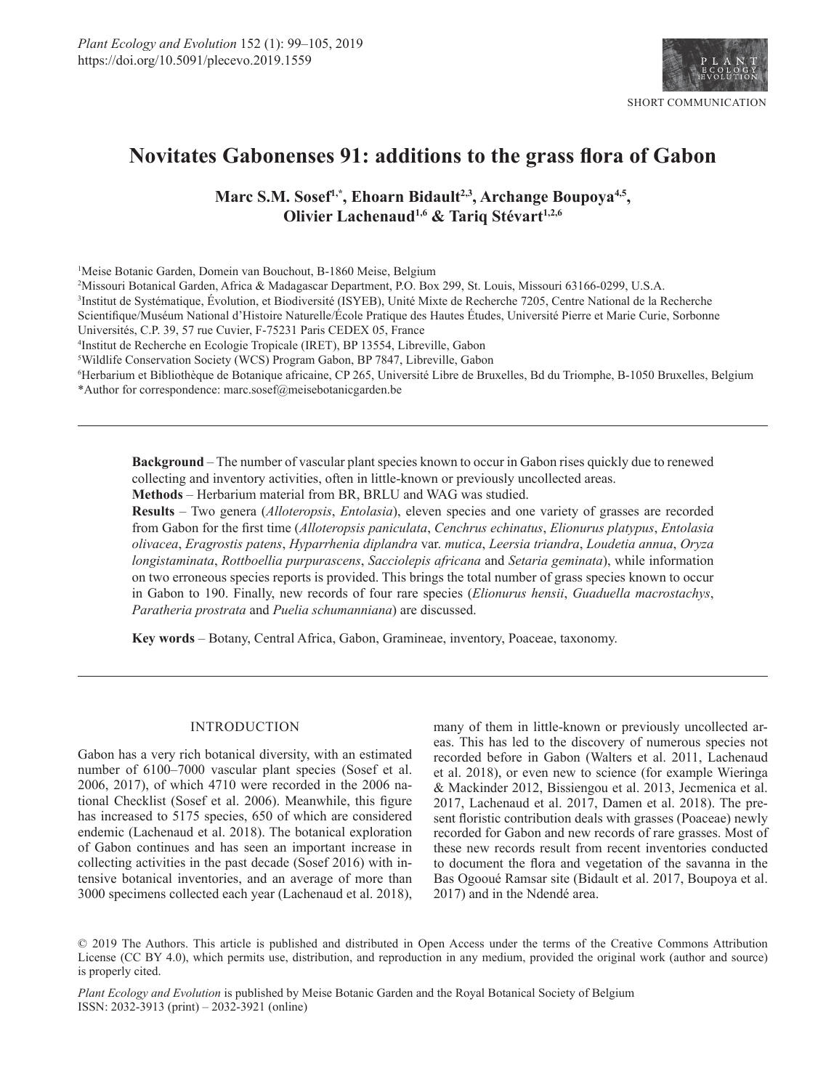

# **Novitates Gabonenses 91: additions to the grass flora of Gabon**

Marc S.M. Sosef<sup>1,\*</sup>, Ehoarn Bidault<sup>2,3</sup>, Archange Boupoya<sup>4,5</sup>, **Olivier Lachenaud<sup>1,6</sup> & Tariq Stévart<sup>1,2,6</sup>** 

1 Meise Botanic Garden, Domein van Bouchout, B-1860 Meise, Belgium

2 Missouri Botanical Garden, Africa & Madagascar Department, P.O. Box 299, St. Louis, Missouri 63166-0299, U.S.A.

3 Institut de Systématique, Évolution, et Biodiversité (ISYEB), Unité Mixte de Recherche 7205, Centre National de la Recherche

Scientifique/Muséum National d'Histoire Naturelle/École Pratique des Hautes Études, Université Pierre et Marie Curie, Sorbonne Universités, C.P. 39, 57 rue Cuvier, F-75231 Paris CEDEX 05, France

4 Institut de Recherche en Ecologie Tropicale (IRET), BP 13554, Libreville, Gabon

5 Wildlife Conservation Society (WCS) Program Gabon, BP 7847, Libreville, Gabon

6 Herbarium et Bibliothèque de Botanique africaine, CP 265, Université Libre de Bruxelles, Bd du Triomphe, B-1050 Bruxelles, Belgium \*Author for correspondence: [marc.sosef@meisebotanicgarden.be](mailto:marc.sosef@meisebotanicgarden.be)

**Background** – The number of vascular plant species known to occur in Gabon rises quickly due to renewed collecting and inventory activities, often in little-known or previously uncollected areas.

**Methods** – Herbarium material from BR, BRLU and WAG was studied.

**Results** – Two genera (*Alloteropsis*, *Entolasia*), eleven species and one variety of grasses are recorded from Gabon for the first time (*Alloteropsis paniculata*, *Cenchrus echinatus*, *Elionurus platypus*, *Entolasia olivacea*, *Eragrostis patens*, *Hyparrhenia diplandra* var. *mutica*, *Leersia triandra*, *Loudetia annua*, *Oryza longistaminata*, *Rottboellia purpurascens*, *Sacciolepis africana* and *Setaria geminata*), while information on two erroneous species reports is provided. This brings the total number of grass species known to occur in Gabon to 190. Finally, new records of four rare species (*Elionurus hensii*, *Guaduella macrostachys*, *Paratheria prostrata* and *Puelia schumanniana*) are discussed.

**Key words** – Botany, Central Africa, Gabon, Gramineae, inventory, Poaceae, taxonomy.

# INTRODUCTION

Gabon has a very rich botanical diversity, with an estimated number of 6100–7000 vascular plant species (Sosef et al. 2006, 2017), of which 4710 were recorded in the 2006 national Checklist (Sosef et al. 2006). Meanwhile, this figure has increased to 5175 species, 650 of which are considered endemic (Lachenaud et al. 2018). The botanical exploration of Gabon continues and has seen an important increase in collecting activities in the past decade (Sosef 2016) with intensive botanical inventories, and an average of more than 3000 specimens collected each year (Lachenaud et al. 2018),

many of them in little-known or previously uncollected areas. This has led to the discovery of numerous species not recorded before in Gabon (Walters et al. 2011, Lachenaud et al. 2018), or even new to science (for example Wieringa & Mackinder 2012, Bissiengou et al. 2013, Jecmenica et al. 2017, Lachenaud et al. 2017, Damen et al. 2018). The present floristic contribution deals with grasses (Poaceae) newly recorded for Gabon and new records of rare grasses. Most of these new records result from recent inventories conducted to document the flora and vegetation of the savanna in the Bas Ogooué Ramsar site (Bidault et al. 2017, Boupoya et al. 2017) and in the Ndendé area.

© 2019 The Authors. This article is published and distributed in Open Access under the terms of the [Creative Commons Attribution](https://creativecommons.org/licenses/by/4.0/) [License](https://creativecommons.org/licenses/by/4.0/) (CC BY 4.0), which permits use, distribution, and reproduction in any medium, provided the original work (author and source) is properly cited.

*Plant Ecology and Evolution* is published by Meise Botanic Garden and the Royal Botanical Society of Belgium ISSN: 2032-3913 (print) – 2032-3921 (online)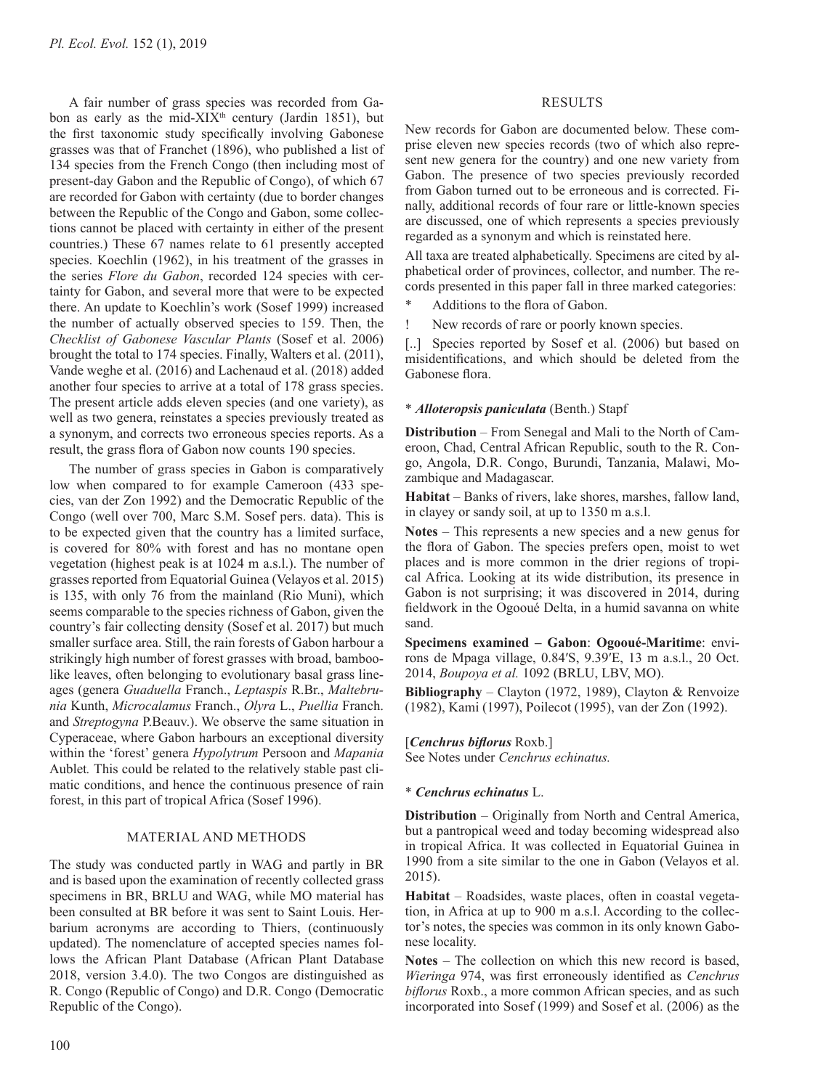A fair number of grass species was recorded from Gabon as early as the mid-XIX<sup>th</sup> century (Jardin 1851), but the first taxonomic study specifically involving Gabonese grasses was that of Franchet (1896), who published a list of 134 species from the French Congo (then including most of present-day Gabon and the Republic of Congo), of which 67 are recorded for Gabon with certainty (due to border changes between the Republic of the Congo and Gabon, some collections cannot be placed with certainty in either of the present countries.) These 67 names relate to 61 presently accepted species. Koechlin (1962), in his treatment of the grasses in the series *Flore du Gabon*, recorded 124 species with certainty for Gabon, and several more that were to be expected there. An update to Koechlin's work (Sosef 1999) increased the number of actually observed species to 159. Then, the *Checklist of Gabonese Vascular Plants* (Sosef et al. 2006) brought the total to 174 species. Finally, Walters et al. (2011), Vande weghe et al. (2016) and Lachenaud et al. (2018) added another four species to arrive at a total of 178 grass species. The present article adds eleven species (and one variety), as well as two genera, reinstates a species previously treated as a synonym, and corrects two erroneous species reports. As a result, the grass flora of Gabon now counts 190 species.

The number of grass species in Gabon is comparatively low when compared to for example Cameroon (433 species, van der Zon 1992) and the Democratic Republic of the Congo (well over 700, Marc S.M. Sosef pers. data). This is to be expected given that the country has a limited surface, is covered for 80% with forest and has no montane open vegetation (highest peak is at 1024 m a.s.l.). The number of grasses reported from Equatorial Guinea (Velayos et al. 2015) is 135, with only 76 from the mainland (Rio Muni), which seems comparable to the species richness of Gabon, given the country's fair collecting density (Sosef et al. 2017) but much smaller surface area. Still, the rain forests of Gabon harbour a strikingly high number of forest grasses with broad, bamboolike leaves, often belonging to evolutionary basal grass lineages (genera *Guaduella* Franch., *Leptaspis* R.Br., *Maltebrunia* Kunth, *Microcalamus* Franch., *Olyra* L., *Puellia* Franch. and *Streptogyna* P.Beauv.). We observe the same situation in Cyperaceae, where Gabon harbours an exceptional diversity within the 'forest' genera *Hypolytrum* Persoon and *Mapania*  Aublet*.* This could be related to the relatively stable past climatic conditions, and hence the continuous presence of rain forest, in this part of tropical Africa (Sosef 1996).

# MATERIAL AND METHODS

The study was conducted partly in WAG and partly in BR and is based upon the examination of recently collected grass specimens in BR, BRLU and WAG, while MO material has been consulted at BR before it was sent to Saint Louis. Herbarium acronyms are according to Thiers, (continuously updated). The nomenclature of accepted species names follows the African Plant Database (African Plant Database 2018, version 3.4.0). The two Congos are distinguished as R. Congo (Republic of Congo) and D.R. Congo (Democratic Republic of the Congo).

#### RESULTS

New records for Gabon are documented below. These comprise eleven new species records (two of which also represent new genera for the country) and one new variety from Gabon. The presence of two species previously recorded from Gabon turned out to be erroneous and is corrected. Finally, additional records of four rare or little-known species are discussed, one of which represents a species previously regarded as a synonym and which is reinstated here.

All taxa are treated alphabetically. Specimens are cited by alphabetical order of provinces, collector, and number. The records presented in this paper fall in three marked categories:

Additions to the flora of Gabon.

New records of rare or poorly known species.

[..] Species reported by Sosef et al. (2006) but based on misidentifications, and which should be deleted from the Gabonese flora.

### \* *Alloteropsis paniculata* (Benth.) Stapf

**Distribution** – From Senegal and Mali to the North of Cameroon, Chad, Central African Republic, south to the R. Congo, Angola, D.R. Congo, Burundi, Tanzania, Malawi, Mozambique and Madagascar.

**Habitat** – Banks of rivers, lake shores, marshes, fallow land, in clayey or sandy soil, at up to 1350 m a.s.l.

**Notes** – This represents a new species and a new genus for the flora of Gabon. The species prefers open, moist to wet places and is more common in the drier regions of tropical Africa. Looking at its wide distribution, its presence in Gabon is not surprising; it was discovered in 2014, during fieldwork in the Ogooué Delta, in a humid savanna on white sand.

**Specimens examined – Gabon**: **Ogooué-Maritime**: environs de Mpaga village, 0.84′S, 9.39′E, 13 m a.s.l., 20 Oct. 2014, *Boupoya et al.* 1092 (BRLU, LBV, MO).

**Bibliography** – Clayton (1972, 1989), Clayton & Renvoize (1982), Kami (1997), Poilecot (1995), van der Zon (1992).

#### [*Cenchrus biflorus* Roxb.]

See Notes under *Cenchrus echinatus.*

#### \* *Cenchrus echinatus* L.

**Distribution** – Originally from North and Central America, but a pantropical weed and today becoming widespread also in tropical Africa. It was collected in Equatorial Guinea in 1990 from a site similar to the one in Gabon (Velayos et al. 2015).

**Habitat** – Roadsides, waste places, often in coastal vegetation, in Africa at up to 900 m a.s.l. According to the collector's notes, the species was common in its only known Gabonese locality.

**Notes** – The collection on which this new record is based, *Wieringa* 974, was first erroneously identified as *Cenchrus biflorus* Roxb., a more common African species, and as such incorporated into Sosef (1999) and Sosef et al. (2006) as the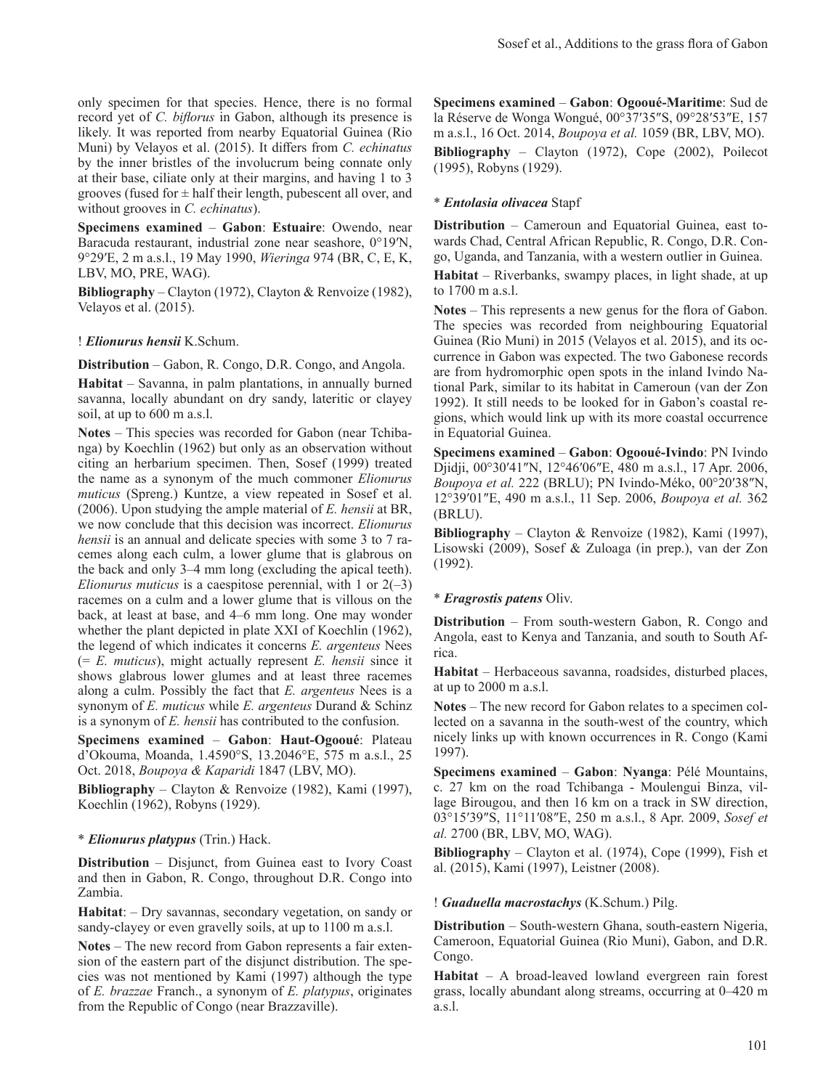only specimen for that species. Hence, there is no formal record yet of *C. biflorus* in Gabon, although its presence is likely. It was reported from nearby Equatorial Guinea (Rio Muni) by Velayos et al. (2015). It differs from *C. echinatus*  by the inner bristles of the involucrum being connate only at their base, ciliate only at their margins, and having 1 to 3 grooves (fused for  $\pm$  half their length, pubescent all over, and without grooves in *C. echinatus*).

**Specimens examined** – **Gabon**: **Estuaire**: Owendo, near Baracuda restaurant, industrial zone near seashore, 0°19′N, 9°29′E, 2 m a.s.l., 19 May 1990, *Wieringa* 974 (BR, C, E, K, LBV, MO, PRE, WAG).

**Bibliography** – Clayton (1972), Clayton & Renvoize (1982), Velayos et al. (2015).

! *Elionurus hensii* K.Schum.

**Distribution** – Gabon, R. Congo, D.R. Congo, and Angola.

**Habitat** – Savanna, in palm plantations, in annually burned savanna, locally abundant on dry sandy, lateritic or clayey soil, at up to 600 m a.s.l.

**Notes** – This species was recorded for Gabon (near Tchibanga) by Koechlin (1962) but only as an observation without citing an herbarium specimen. Then, Sosef (1999) treated the name as a synonym of the much commoner *Elionurus muticus* (Spreng.) Kuntze, a view repeated in Sosef et al. (2006). Upon studying the ample material of *E. hensii* at BR, we now conclude that this decision was incorrect. *Elionurus hensii* is an annual and delicate species with some 3 to 7 racemes along each culm, a lower glume that is glabrous on the back and only 3–4 mm long (excluding the apical teeth). *Elionurus muticus* is a caespitose perennial, with 1 or 2(-3) racemes on a culm and a lower glume that is villous on the back, at least at base, and 4–6 mm long. One may wonder whether the plant depicted in plate XXI of Koechlin (1962), the legend of which indicates it concerns *E. argenteus* Nees (= *E. muticus*), might actually represent *E. hensii* since it shows glabrous lower glumes and at least three racemes along a culm. Possibly the fact that *E. argenteus* Nees is a synonym of *E. muticus* while *E. argenteus* Durand & Schinz is a synonym of *E. hensii* has contributed to the confusion.

**Specimens examined** – **Gabon**: **Haut-Ogooué**: Plateau d'Okouma, Moanda, 1.4590°S, 13.2046°E, 575 m a.s.l., 25 Oct. 2018, *Boupoya & Kaparidi* 1847 (LBV, MO).

**Bibliography** – Clayton & Renvoize (1982), Kami (1997), Koechlin (1962), Robyns (1929).

# \* *Elionurus platypus* (Trin.) Hack.

**Distribution** – Disjunct, from Guinea east to Ivory Coast and then in Gabon, R. Congo, throughout D.R. Congo into Zambia.

**Habitat**: – Dry savannas, secondary vegetation, on sandy or sandy-clayey or even gravelly soils, at up to 1100 m a.s.l.

**Notes** – The new record from Gabon represents a fair extension of the eastern part of the disjunct distribution. The species was not mentioned by Kami (1997) although the type of *E. brazzae* Franch., a synonym of *E. platypus*, originates from the Republic of Congo (near Brazzaville).

**Specimens examined** – **Gabon**: **Ogooué-Maritime**: Sud de la Réserve de Wonga Wongué, 00°37′35″S, 09°28′53″E, 157 m a.s.l., 16 Oct. 2014, *Boupoya et al.* 1059 (BR, LBV, MO). **Bibliography** – Clayton (1972), Cope (2002), Poilecot (1995), Robyns (1929).

## \* *Entolasia olivacea* Stapf

**Distribution** – Cameroun and Equatorial Guinea, east towards Chad, Central African Republic, R. Congo, D.R. Congo, Uganda, and Tanzania, with a western outlier in Guinea. **Habitat** – Riverbanks, swampy places, in light shade, at up to 1700 m a.s.l.

**Notes** – This represents a new genus for the flora of Gabon. The species was recorded from neighbouring Equatorial Guinea (Rio Muni) in 2015 (Velayos et al. 2015), and its occurrence in Gabon was expected. The two Gabonese records are from hydromorphic open spots in the inland Ivindo National Park, similar to its habitat in Cameroun (van der Zon 1992). It still needs to be looked for in Gabon's coastal regions, which would link up with its more coastal occurrence in Equatorial Guinea.

**Specimens examined** – **Gabon**: **Ogooué-Ivindo**: PN Ivindo Djidji, 00°30′41″N, 12°46′06″E, 480 m a.s.l., 17 Apr. 2006, *Boupoya et al.* 222 (BRLU); PN Ivindo-Méko, 00°20′38″N, 12°39′01″E, 490 m a.s.l., 11 Sep. 2006, *Boupoya et al.* 362 (BRLU).

**Bibliography** – Clayton & Renvoize (1982), Kami (1997), Lisowski (2009), Sosef & Zuloaga (in prep.), van der Zon (1992).

# \* *Eragrostis patens* Oliv.

**Distribution** – From south-western Gabon, R. Congo and Angola, east to Kenya and Tanzania, and south to South Africa.

**Habitat** – Herbaceous savanna, roadsides, disturbed places, at up to 2000 m a.s.l.

**Notes** – The new record for Gabon relates to a specimen collected on a savanna in the south-west of the country, which nicely links up with known occurrences in R. Congo (Kami 1997).

**Specimens examined** – **Gabon**: **Nyanga**: Pélé Mountains, c. 27 km on the road Tchibanga - Moulengui Binza, village Birougou, and then 16 km on a track in SW direction, 03°15′39″S, 11°11′08″E, 250 m a.s.l., 8 Apr. 2009, *Sosef et al.* 2700 (BR, LBV, MO, WAG).

**Bibliography** – Clayton et al. (1974), Cope (1999), Fish et al. (2015), Kami (1997), Leistner (2008).

#### ! *Guaduella macrostachys* (K.Schum.) Pilg.

**Distribution** – South-western Ghana, south-eastern Nigeria, Cameroon, Equatorial Guinea (Rio Muni), Gabon, and D.R. Congo.

**Habitat** – A broad-leaved lowland evergreen rain forest grass, locally abundant along streams, occurring at 0–420 m a.s.l.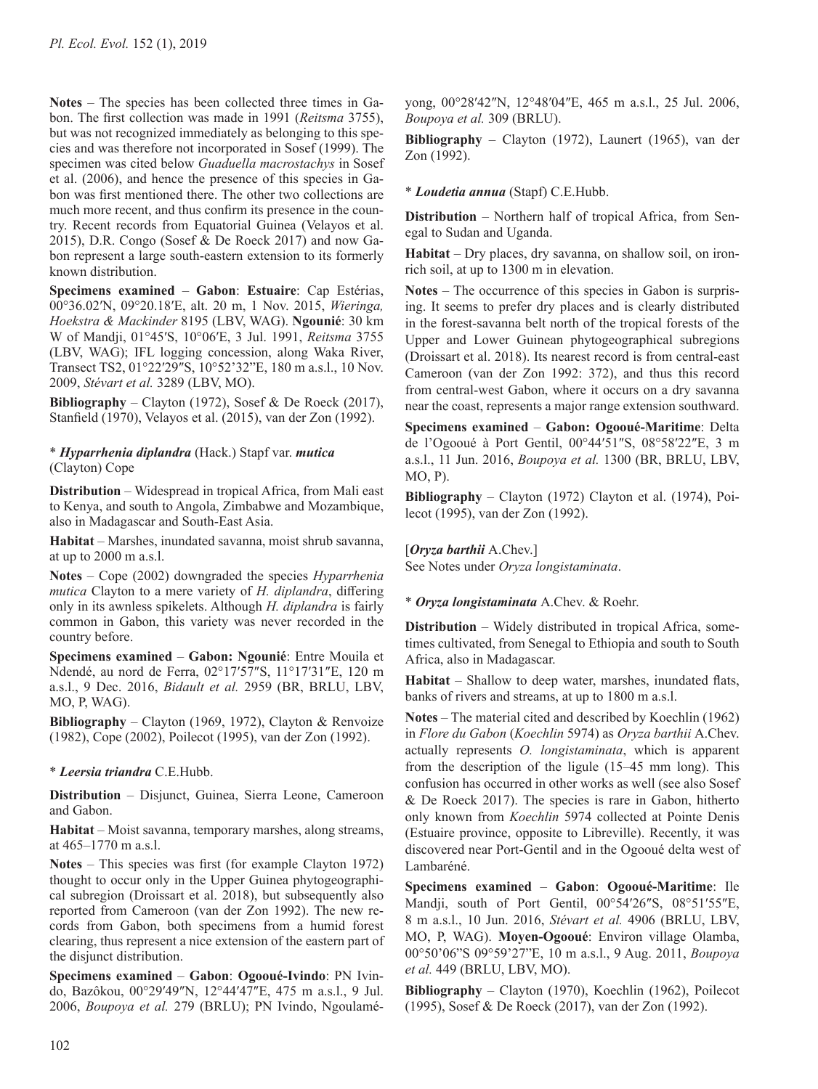**Notes** – The species has been collected three times in Gabon. The first collection was made in 1991 (*Reitsma* 3755), but was not recognized immediately as belonging to this species and was therefore not incorporated in Sosef (1999). The specimen was cited below *Guaduella macrostachys* in Sosef et al. (2006), and hence the presence of this species in Gabon was first mentioned there. The other two collections are much more recent, and thus confirm its presence in the country. Recent records from Equatorial Guinea (Velayos et al. 2015), D.R. Congo (Sosef & De Roeck 2017) and now Gabon represent a large south-eastern extension to its formerly known distribution.

**Specimens examined** – **Gabon**: **Estuaire**: Cap Estérias, 00°36.02′N, 09°20.18′E, alt. 20 m, 1 Nov. 2015, *Wieringa, Hoekstra & Mackinder* 8195 (LBV, WAG). **Ngounié**: 30 km W of Mandji, 01°45′S, 10°06′E, 3 Jul. 1991, *Reitsma* 3755 (LBV, WAG); IFL logging concession, along Waka River, Transect TS2, 01°22′29″S, 10°52'32"E, 180 m a.s.l., 10 Nov. 2009, *Stévart et al.* 3289 (LBV, MO).

**Bibliography** – Clayton (1972), Sosef & De Roeck (2017), Stanfield (1970), Velayos et al. (2015), van der Zon (1992).

# \* *Hyparrhenia diplandra* (Hack.) Stapf var. *mutica*  (Clayton) Cope

**Distribution** – Widespread in tropical Africa, from Mali east to Kenya, and south to Angola, Zimbabwe and Mozambique, also in Madagascar and South-East Asia.

**Habitat** – Marshes, inundated savanna, moist shrub savanna, at up to 2000 m a.s.l.

**Notes** – Cope (2002) downgraded the species *Hyparrhenia mutica* Clayton to a mere variety of *H. diplandra*, differing only in its awnless spikelets. Although *H. diplandra* is fairly common in Gabon, this variety was never recorded in the country before.

**Specimens examined** – **Gabon: Ngounié**: Entre Mouila et Ndendé, au nord de Ferra, 02°17′57″S, 11°17′31″E, 120 m a.s.l., 9 Dec. 2016, *Bidault et al.* 2959 (BR, BRLU, LBV, MO, P, WAG).

**Bibliography** – Clayton (1969, 1972), Clayton & Renvoize (1982), Cope (2002), Poilecot (1995), van der Zon (1992).

# \* *Leersia triandra* C.E.Hubb.

**Distribution** – Disjunct, Guinea, Sierra Leone, Cameroon and Gabon.

**Habitat** – Moist savanna, temporary marshes, along streams, at 465–1770 m a.s.l.

**Notes** – This species was first (for example Clayton 1972) thought to occur only in the Upper Guinea phytogeographical subregion (Droissart et al. 2018), but subsequently also reported from Cameroon (van der Zon 1992). The new records from Gabon, both specimens from a humid forest clearing, thus represent a nice extension of the eastern part of the disjunct distribution.

**Specimens examined** – **Gabon**: **Ogooué-Ivindo**: PN Ivindo, Bazôkou, 00°29′49″N, 12°44′47″E, 475 m a.s.l., 9 Jul. 2006, *Boupoya et al.* 279 (BRLU); PN Ivindo, Ngoulaméyong, 00°28′42″N, 12°48′04″E, 465 m a.s.l., 25 Jul. 2006, *Boupoya et al.* 309 (BRLU).

**Bibliography** – Clayton (1972), Launert (1965), van der Zon (1992).

# \* *Loudetia annua* (Stapf) C.E.Hubb.

**Distribution** – Northern half of tropical Africa, from Senegal to Sudan and Uganda.

**Habitat** – Dry places, dry savanna, on shallow soil, on ironrich soil, at up to 1300 m in elevation.

**Notes** – The occurrence of this species in Gabon is surprising. It seems to prefer dry places and is clearly distributed in the forest-savanna belt north of the tropical forests of the Upper and Lower Guinean phytogeographical subregions (Droissart et al. 2018). Its nearest record is from central-east Cameroon (van der Zon 1992: 372), and thus this record from central-west Gabon, where it occurs on a dry savanna near the coast, represents a major range extension southward.

**Specimens examined** – **Gabon: Ogooué-Maritime**: Delta de l'Ogooué à Port Gentil, 00°44′51″S, 08°58′22″E, 3 m a.s.l., 11 Jun. 2016, *Boupoya et al.* 1300 (BR, BRLU, LBV, MO, P).

**Bibliography** – Clayton (1972) Clayton et al. (1974), Poilecot (1995), van der Zon (1992).

[*Oryza barthii* A.Chev.] See Notes under *Oryza longistaminata*.

\* *Oryza longistaminata* A.Chev. & Roehr.

**Distribution** – Widely distributed in tropical Africa, sometimes cultivated, from Senegal to Ethiopia and south to South Africa, also in Madagascar.

**Habitat** – Shallow to deep water, marshes, inundated flats, banks of rivers and streams, at up to 1800 m a.s.l.

**Notes** – The material cited and described by Koechlin (1962) in *Flore du Gabon* (*Koechlin* 5974) as *Oryza barthii* A.Chev. actually represents *O. longistaminata*, which is apparent from the description of the ligule (15–45 mm long). This confusion has occurred in other works as well (see also Sosef & De Roeck 2017). The species is rare in Gabon, hitherto only known from *Koechlin* 5974 collected at Pointe Denis (Estuaire province, opposite to Libreville). Recently, it was discovered near Port-Gentil and in the Ogooué delta west of Lambaréné.

**Specimens examined** – **Gabon**: **Ogooué-Maritime**: Ile Mandji, south of Port Gentil, 00°54′26″S, 08°51′55″E, 8 m a.s.l., 10 Jun. 2016, *Stévart et al.* 4906 (BRLU, LBV, MO, P, WAG). **Moyen-Ogooué**: Environ village Olamba, 00°50'06"S 09°59'27"E, 10 m a.s.l., 9 Aug. 2011, *Boupoya et al.* 449 (BRLU, LBV, MO).

**Bibliography** – Clayton (1970), Koechlin (1962), Poilecot (1995), Sosef & De Roeck (2017), van der Zon (1992).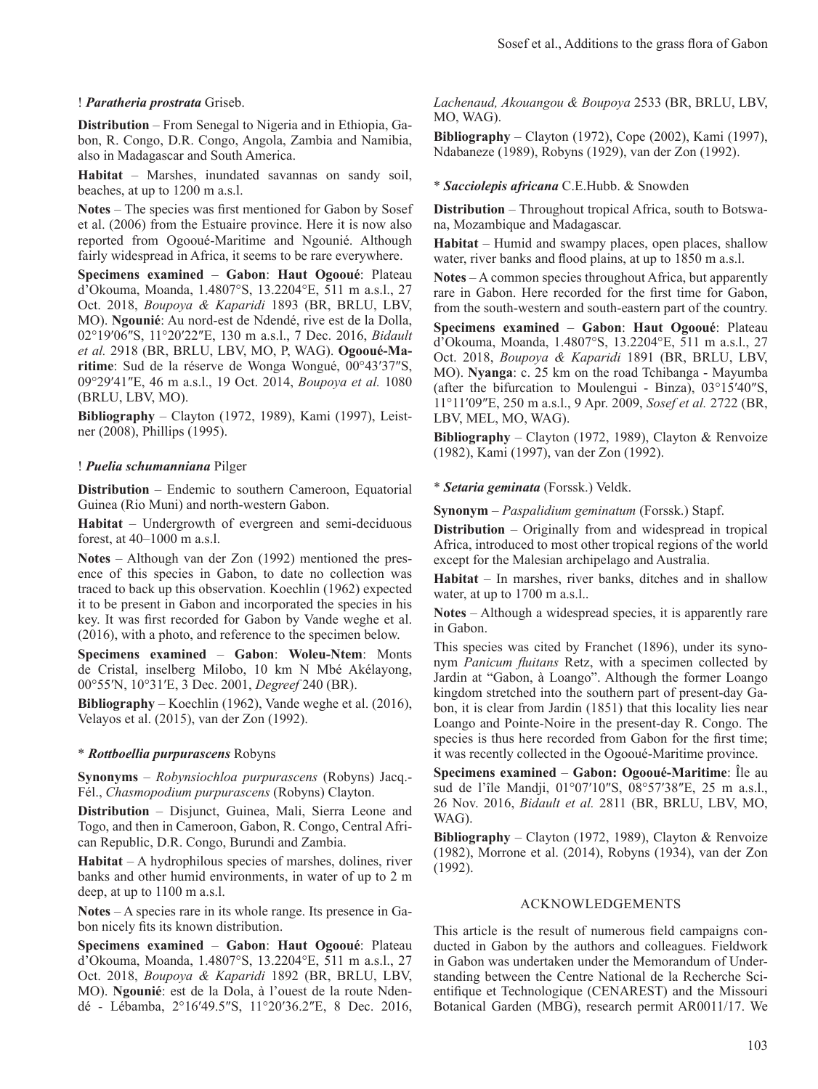#### ! *Paratheria prostrata* Griseb.

**Distribution** – From Senegal to Nigeria and in Ethiopia, Gabon, R. Congo, D.R. Congo, Angola, Zambia and Namibia, also in Madagascar and South America.

**Habitat** – Marshes, inundated savannas on sandy soil, beaches, at up to 1200 m a.s.l.

**Notes** – The species was first mentioned for Gabon by Sosef et al. (2006) from the Estuaire province. Here it is now also reported from Ogooué-Maritime and Ngounié. Although fairly widespread in Africa, it seems to be rare everywhere.

**Specimens examined** – **Gabon**: **Haut Ogooué**: Plateau d'Okouma, Moanda, 1.4807°S, 13.2204°E, 511 m a.s.l., 27 Oct. 2018, *Boupoya & Kaparidi* 1893 (BR, BRLU, LBV, MO). **Ngounié**: Au nord-est de Ndendé, rive est de la Dolla, 02°19′06″S, 11°20′22″E, 130 m a.s.l., 7 Dec. 2016, *Bidault et al.* 2918 (BR, BRLU, LBV, MO, P, WAG). **Ogooué-Maritime**: Sud de la réserve de Wonga Wongué, 00°43′37″S, 09°29′41″E, 46 m a.s.l., 19 Oct. 2014, *Boupoya et al.* 1080 (BRLU, LBV, MO).

**Bibliography** – Clayton (1972, 1989), Kami (1997), Leistner (2008), Phillips (1995).

#### ! *Puelia schumanniana* Pilger

**Distribution** – Endemic to southern Cameroon, Equatorial Guinea (Rio Muni) and north-western Gabon.

**Habitat** – Undergrowth of evergreen and semi-deciduous forest, at 40–1000 m a.s.l.

**Notes** – Although van der Zon (1992) mentioned the presence of this species in Gabon, to date no collection was traced to back up this observation. Koechlin (1962) expected it to be present in Gabon and incorporated the species in his key. It was first recorded for Gabon by Vande weghe et al. (2016), with a photo, and reference to the specimen below.

**Specimens examined** – **Gabon**: **Woleu-Ntem**: Monts de Cristal, inselberg Milobo, 10 km N Mbé Akélayong, 00°55′N, 10°31′E, 3 Dec. 2001, *Degreef* 240 (BR).

**Bibliography** – Koechlin (1962), Vande weghe et al. (2016), Velayos et al. (2015), van der Zon (1992).

#### \* *Rottboellia purpurascens* Robyns

**Synonyms** – *Robynsiochloa purpurascens* (Robyns) Jacq.- Fél., *Chasmopodium purpurascens* (Robyns) Clayton.

**Distribution** – Disjunct, Guinea, Mali, Sierra Leone and Togo, and then in Cameroon, Gabon, R. Congo, Central African Republic, D.R. Congo, Burundi and Zambia.

**Habitat** – A hydrophilous species of marshes, dolines, river banks and other humid environments, in water of up to 2 m deep, at up to 1100 m a.s.l.

**Notes** – A species rare in its whole range. Its presence in Gabon nicely fits its known distribution.

**Specimens examined** – **Gabon**: **Haut Ogooué**: Plateau d'Okouma, Moanda, 1.4807°S, 13.2204°E, 511 m a.s.l., 27 Oct. 2018, *Boupoya & Kaparidi* 1892 (BR, BRLU, LBV, MO). **Ngounié**: est de la Dola, à l'ouest de la route Ndendé - Lébamba, 2°16′49.5″S, 11°20′36.2″E, 8 Dec. 2016, *Lachenaud, Akouangou & Boupoya* 2533 (BR, BRLU, LBV, MO, WAG).

**Bibliography** – Clayton (1972), Cope (2002), Kami (1997), Ndabaneze (1989), Robyns (1929), van der Zon (1992).

#### \* *Sacciolepis africana* C.E.Hubb. & Snowden

**Distribution** – Throughout tropical Africa, south to Botswana, Mozambique and Madagascar.

**Habitat** – Humid and swampy places, open places, shallow water, river banks and flood plains, at up to 1850 m a.s.l.

**Notes** – A common species throughout Africa, but apparently rare in Gabon. Here recorded for the first time for Gabon, from the south-western and south-eastern part of the country.

**Specimens examined** – **Gabon**: **Haut Ogooué**: Plateau d'Okouma, Moanda, 1.4807°S, 13.2204°E, 511 m a.s.l., 27 Oct. 2018, *Boupoya & Kaparidi* 1891 (BR, BRLU, LBV, MO). **Nyanga**: c. 25 km on the road Tchibanga - Mayumba (after the bifurcation to Moulengui - Binza), 03°15′40″S, 11°11′09″E, 250 m a.s.l., 9 Apr. 2009, *Sosef et al.* 2722 (BR, LBV, MEL, MO, WAG).

**Bibliography** – Clayton (1972, 1989), Clayton & Renvoize (1982), Kami (1997), van der Zon (1992).

\* *Setaria geminata* (Forssk.) Veldk.

**Synonym** – *Paspalidium geminatum* (Forssk.) Stapf.

**Distribution** – Originally from and widespread in tropical Africa, introduced to most other tropical regions of the world except for the Malesian archipelago and Australia.

**Habitat** – In marshes, river banks, ditches and in shallow water, at up to 1700 m a.s.l..

**Notes** – Although a widespread species, it is apparently rare in Gabon.

This species was cited by Franchet (1896), under its synonym *Panicum fluitans* Retz, with a specimen collected by Jardin at "Gabon, à Loango". Although the former Loango kingdom stretched into the southern part of present-day Gabon, it is clear from Jardin (1851) that this locality lies near Loango and Pointe-Noire in the present-day R. Congo. The species is thus here recorded from Gabon for the first time; it was recently collected in the Ogooué-Maritime province.

**Specimens examined** – **Gabon: Ogooué-Maritime**: Île au sud de l'île Mandji, 01°07′10″S, 08°57′38″E, 25 m a.s.l., 26 Nov. 2016, *Bidault et al.* 2811 (BR, BRLU, LBV, MO, WAG).

**Bibliography** – Clayton (1972, 1989), Clayton & Renvoize (1982), Morrone et al. (2014), Robyns (1934), van der Zon (1992).

#### ACKNOWLEDGEMENTS

This article is the result of numerous field campaigns conducted in Gabon by the authors and colleagues. Fieldwork in Gabon was undertaken under the Memorandum of Understanding between the Centre National de la Recherche Scientifique et Technologique (CENAREST) and the Missouri Botanical Garden (MBG), research permit AR0011/17. We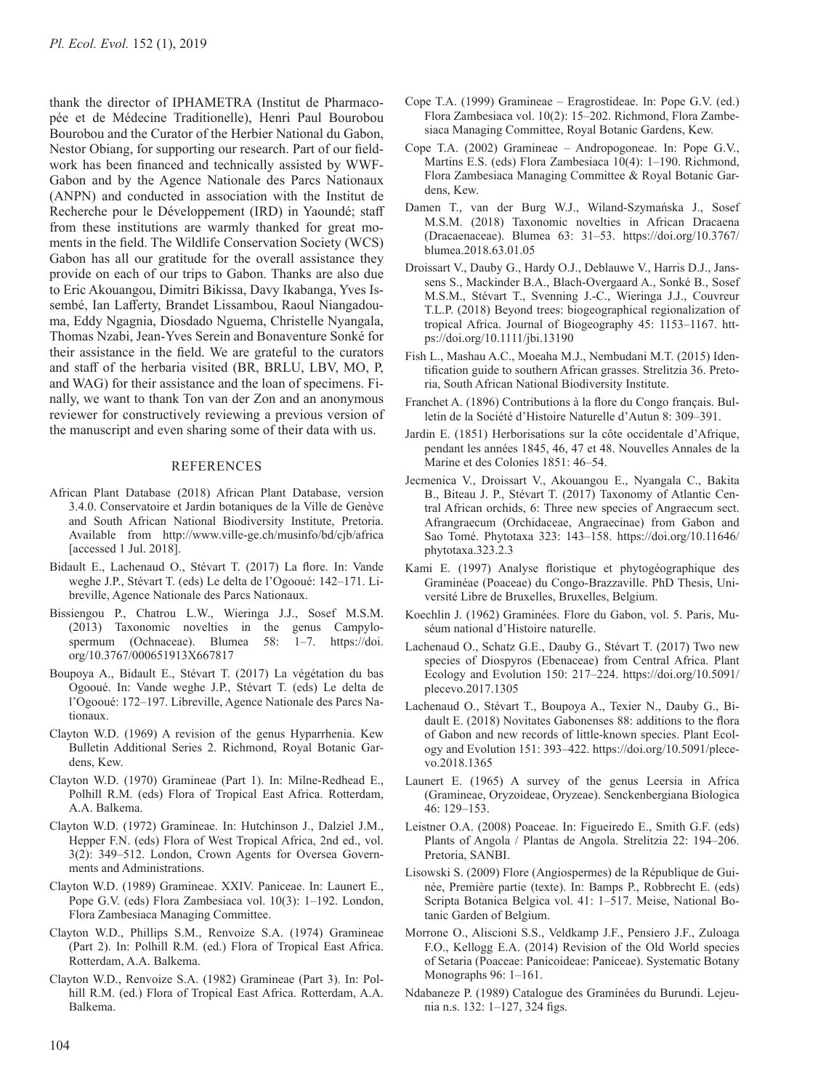thank the director of IPHAMETRA (Institut de Pharmacopée et de Médecine Traditionelle), Henri Paul Bourobou Bourobou and the Curator of the Herbier National du Gabon, Nestor Obiang, for supporting our research. Part of our fieldwork has been financed and technically assisted by WWF-Gabon and by the Agence Nationale des Parcs Nationaux (ANPN) and conducted in association with the Institut de Recherche pour le Développement (IRD) in Yaoundé; staff from these institutions are warmly thanked for great moments in the field. The Wildlife Conservation Society (WCS) Gabon has all our gratitude for the overall assistance they provide on each of our trips to Gabon. Thanks are also due to Eric Akouangou, Dimitri Bikissa, Davy Ikabanga, Yves Issembé, Ian Lafferty, Brandet Lissambou, Raoul Niangadouma, Eddy Ngagnia, Diosdado Nguema, Christelle Nyangala, Thomas Nzabi, Jean-Yves Serein and Bonaventure Sonké for their assistance in the field. We are grateful to the curators and staff of the herbaria visited (BR, BRLU, LBV, MO, P, and WAG) for their assistance and the loan of specimens. Finally, we want to thank Ton van der Zon and an anonymous reviewer for constructively reviewing a previous version of the manuscript and even sharing some of their data with us.

#### **REFERENCES**

- African Plant Database (2018) African Plant Database, version 3.4.0. Conservatoire et Jardin botaniques de la Ville de Genève and South African National Biodiversity Institute, Pretoria. Available from [http://www.ville-ge.ch/musinfo/bd/cjb/africa](http://www.ville-ge.ch/musinfo/bd/cjb/africa ) [accessed 1 Jul. 2018].
- Bidault E., Lachenaud O., Stévart T. (2017) La flore. In: Vande weghe J.P., Stévart T. (eds) Le delta de l'Ogooué: 142–171. Libreville, Agence Nationale des Parcs Nationaux.
- Bissiengou P., Chatrou L.W., Wieringa J.J., Sosef M.S.M. (2013) Taxonomic novelties in the genus Campylospermum (Ochnaceae). Blumea 58: 1-7. [https://doi.](https://doi.org/10.3767/000651913X667817) [org/10.3767/000651913X667817](https://doi.org/10.3767/000651913X667817)
- Boupoya A., Bidault E., Stévart T. (2017) La végétation du bas Ogooué. In: Vande weghe J.P., Stévart T. (eds) Le delta de l'Ogooué: 172–197. Libreville, Agence Nationale des Parcs Nationaux.
- Clayton W.D. (1969) A revision of the genus Hyparrhenia. Kew Bulletin Additional Series 2. Richmond, Royal Botanic Gardens, Kew.
- Clayton W.D. (1970) Gramineae (Part 1). In: Milne-Redhead E., Polhill R.M. (eds) Flora of Tropical East Africa. Rotterdam, A.A. Balkema.
- Clayton W.D. (1972) Gramineae. In: Hutchinson J., Dalziel J.M., Hepper F.N. (eds) Flora of West Tropical Africa, 2nd ed., vol. 3(2): 349–512. London, Crown Agents for Oversea Governments and Administrations.
- Clayton W.D. (1989) Gramineae. XXIV. Paniceae. In: Launert E., Pope G.V. (eds) Flora Zambesiaca vol. 10(3): 1–192. London, Flora Zambesiaca Managing Committee.
- Clayton W.D., Phillips S.M., Renvoize S.A. (1974) Gramineae (Part 2). In: Polhill R.M. (ed.) Flora of Tropical East Africa. Rotterdam, A.A. Balkema.
- Clayton W.D., Renvoize S.A. (1982) Gramineae (Part 3). In: Polhill R.M. (ed.) Flora of Tropical East Africa. Rotterdam, A.A. Balkema.
- Cope T.A. (1999) Gramineae Eragrostideae. In: Pope G.V. (ed.) Flora Zambesiaca vol. 10(2): 15–202. Richmond, Flora Zambesiaca Managing Committee, Royal Botanic Gardens, Kew.
- Cope T.A. (2002) Gramineae Andropogoneae. In: Pope G.V., Martins E.S. (eds) Flora Zambesiaca 10(4): 1–190. Richmond, Flora Zambesiaca Managing Committee & Royal Botanic Gardens, Kew.
- Damen T., van der Burg W.J., Wiland-Szymańska J., Sosef M.S.M. (2018) Taxonomic novelties in African Dracaena (Dracaenaceae). Blumea 63: 31–53. [https://doi.org/10.3767/](https://doi.org/10.3767/blumea.2018.63.01.05) [blumea.2018.63.01.05](https://doi.org/10.3767/blumea.2018.63.01.05)
- Droissart V., Dauby G., Hardy O.J., Deblauwe V., Harris D.J., Janssens S., Mackinder B.A., Blach-Overgaard A., Sonké B., Sosef M.S.M., Stévart T., Svenning J.-C., Wieringa J.J., Couvreur T.L.P. (2018) Beyond trees: biogeographical regionalization of tropical Africa. Journal of Biogeography 45: 1153–1167. [htt](https://doi.org/10.1111/jbi.13190)[ps://doi.org/10.1111/jbi.13190](https://doi.org/10.1111/jbi.13190)
- Fish L., Mashau A.C., Moeaha M.J., Nembudani M.T. (2015) Identification guide to southern African grasses. Strelitzia 36. Pretoria, South African National Biodiversity Institute.
- Franchet A. (1896) Contributions à la flore du Congo français. Bulletin de la Société d'Histoire Naturelle d'Autun 8: 309–391.
- Jardin E. (1851) Herborisations sur la côte occidentale d'Afrique, pendant les années 1845, 46, 47 et 48. Nouvelles Annales de la Marine et des Colonies 1851: 46–54.
- Jecmenica V., Droissart V., Akouangou E., Nyangala C., Bakita B., Biteau J. P., Stévart T. (2017) Taxonomy of Atlantic Central African orchids, 6: Three new species of Angraecum sect. Afrangraecum (Orchidaceae, Angraecinae) from Gabon and Sao Tomé. Phytotaxa 323: 143–158. [https://doi.org/10.11646/](https://doi.org/10.11646/phytotaxa.323.2.3) [phytotaxa.323.2.3](https://doi.org/10.11646/phytotaxa.323.2.3)
- Kami E. (1997) Analyse floristique et phytogéographique des Graminéae (Poaceae) du Congo-Brazzaville. PhD Thesis, Université Libre de Bruxelles, Bruxelles, Belgium.
- Koechlin J. (1962) Graminées. Flore du Gabon, vol. 5. Paris, Muséum national d'Histoire naturelle.
- Lachenaud O., Schatz G.E., Dauby G., Stévart T. (2017) Two new species of Diospyros (Ebenaceae) from Central Africa. Plant Ecology and Evolution 150: 217–224. [https://doi.org/10.5091/](https://doi.org/10.5091/plecevo.2017.1305) [plecevo.2017.1305](https://doi.org/10.5091/plecevo.2017.1305)
- Lachenaud O., Stévart T., Boupoya A., Texier N., Dauby G., Bidault E. (2018) Novitates Gabonenses 88: additions to the flora of Gabon and new records of little-known species. Plant Ecology and Evolution 151: 393–422. [https://doi.org/10.5091/plece](https://doi.org/10.5091/plecevo.2018.1365)[vo.2018.1365](https://doi.org/10.5091/plecevo.2018.1365)
- Launert E. (1965) A survey of the genus Leersia in Africa (Gramineae, Oryzoideae, Oryzeae). Senckenbergiana Biologica 46: 129–153.
- Leistner O.A. (2008) Poaceae. In: Figueiredo E., Smith G.F. (eds) Plants of Angola / Plantas de Angola. Strelitzia 22: 194–206. Pretoria, SANBI.
- Lisowski S. (2009) Flore (Angiospermes) de la République de Guinée, Première partie (texte). In: Bamps P., Robbrecht E. (eds) Scripta Botanica Belgica vol. 41: 1–517. Meise, National Botanic Garden of Belgium.
- Morrone O., Aliscioni S.S., Veldkamp J.F., Pensiero J.F., Zuloaga F.O., Kellogg E.A. (2014) Revision of the Old World species of Setaria (Poaceae: Panicoideae: Paniceae). Systematic Botany Monographs 96: 1–161.
- Ndabaneze P. (1989) Catalogue des Graminées du Burundi. Lejeunia n.s. 132: 1–127, 324 figs.